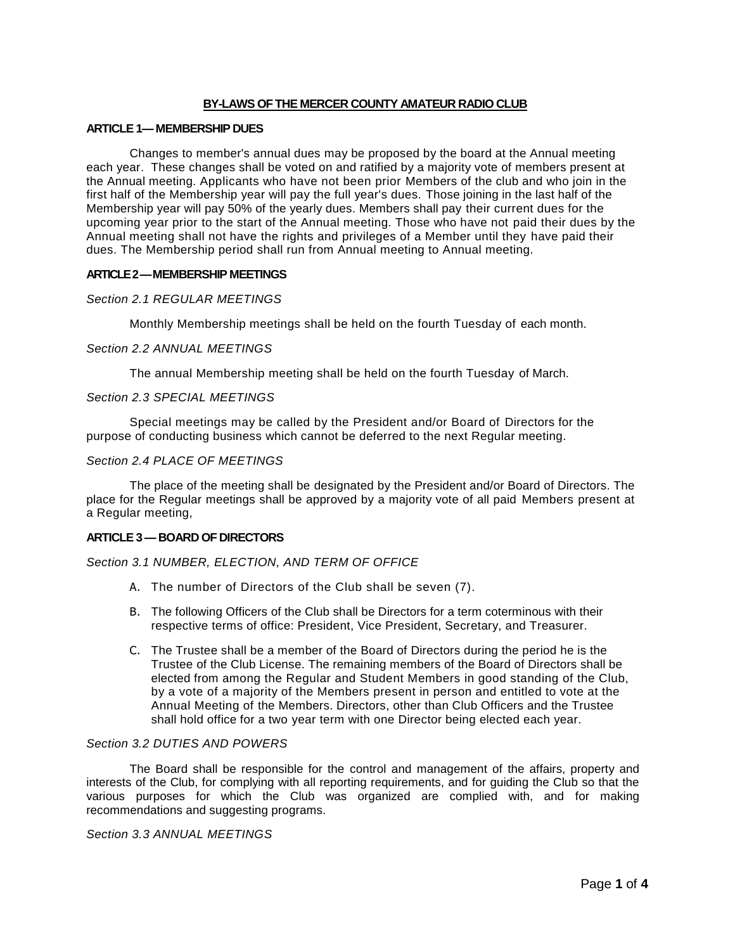# **BY-LAWS OF THE MERCER COUNTY AMATEUR RADIO CLUB**

### **ARTICLE 1—MEMBERSHIP DUES**

Changes to member's annual dues may be proposed by the board at the Annual meeting each year. These changes shall be voted on and ratified by a majority vote of members present at the Annual meeting. Applicants who have not been prior Members of the club and who join in the first half of the Membership year will pay the full year's dues. Those joining in the last half of the Membership year will pay 50% of the yearly dues. Members shall pay their current dues for the upcoming year prior to the start of the Annual meeting. Those who have not paid their dues by the Annual meeting shall not have the rights and privileges of a Member until they have paid their dues. The Membership period shall run from Annual meeting to Annual meeting.

### **ARTICLE 2 —MEMBERSHIP MEETINGS**

### *Section 2.1 REGULAR MEETINGS*

Monthly Membership meetings shall be held on the fourth Tuesday of each month.

### *Section 2.2 ANNUAL MEETINGS*

The annual Membership meeting shall be held on the fourth Tuesday of March.

### *Section 2.3 SPECIAL MEETINGS*

Special meetings may be called by the President and/or Board of Directors for the purpose of conducting business which cannot be deferred to the next Regular meeting.

### *Section 2.4 PLACE OF MEETINGS*

The place of the meeting shall be designated by the President and/or Board of Directors. The place for the Regular meetings shall be approved by a majority vote of all paid Members present at a Regular meeting,

# **ARTICLE 3 —BOARD OF DIRECTORS**

# *Section 3.1 NUMBER, ELECTION, AND TERM OF OFFICE*

- A. The number of Directors of the Club shall be seven (7).
- B. The following Officers of the Club shall be Directors for a term coterminous with their respective terms of office: President, Vice President, Secretary, and Treasurer.
- C. The Trustee shall be a member of the Board of Directors during the period he is the Trustee of the Club License. The remaining members of the Board of Directors shall be elected from among the Regular and Student Members in good standing of the Club, by a vote of a majority of the Members present in person and entitled to vote at the Annual Meeting of the Members. Directors, other than Club Officers and the Trustee shall hold office for a two year term with one Director being elected each year.

### *Section 3.2 DUTIES AND POWERS*

The Board shall be responsible for the control and management of the affairs, property and interests of the Club, for complying with all reporting requirements, and for guiding the Club so that the various purposes for which the Club was organized are complied with, and for making recommendations and suggesting programs.

*Section 3.3 ANNUAL MEETINGS*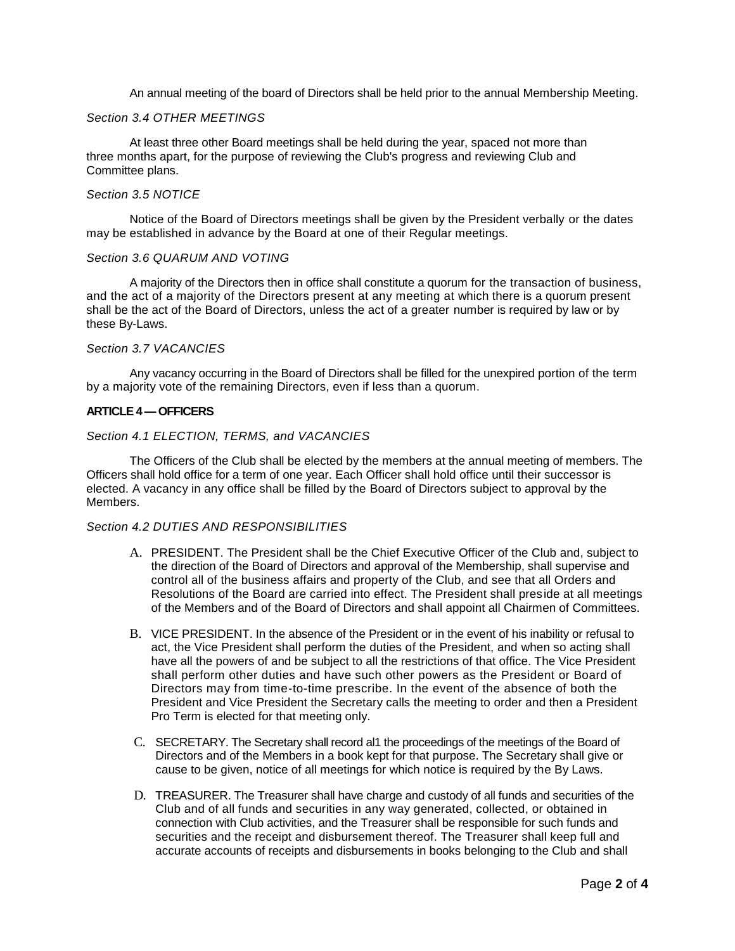An annual meeting of the board of Directors shall be held prior to the annual Membership Meeting.

# *Section 3.4 OTHER MEETINGS*

At least three other Board meetings shall be held during the year, spaced not more than three months apart, for the purpose of reviewing the Club's progress and reviewing Club and Committee plans.

### *Section 3.5 NOTICE*

Notice of the Board of Directors meetings shall be given by the President verbally or the dates may be established in advance by the Board at one of their Regular meetings.

#### *Section 3.6 QUARUM AND VOTING*

A majority of the Directors then in office shall constitute a quorum for the transaction of business, and the act of a majority of the Directors present at any meeting at which there is a quorum present shall be the act of the Board of Directors, unless the act of a greater number is required by law or by these By-Laws.

#### *Section 3.7 VACANCIES*

Any vacancy occurring in the Board of Directors shall be filled for the unexpired portion of the term by a majority vote of the remaining Directors, even if less than a quorum.

#### **ARTICLE 4 —OFFICERS**

# *Section 4.1 ELECTION, TERMS, and VACANCIES*

The Officers of the Club shall be elected by the members at the annual meeting of members. The Officers shall hold office for a term of one year. Each Officer shall hold office until their successor is elected. A vacancy in any office shall be filled by the Board of Directors subject to approval by the **Members** 

#### *Section 4.2 DUTIES AND RESPONSIBILITIES*

- A. PRESIDENT. The President shall be the Chief Executive Officer of the Club and, subject to the direction of the Board of Directors and approval of the Membership, shall supervise and control all of the business affairs and property of the Club, and see that all Orders and Resolutions of the Board are carried into effect. The President shall preside at all meetings of the Members and of the Board of Directors and shall appoint all Chairmen of Committees.
- B. VICE PRESIDENT. In the absence of the President or in the event of his inability or refusal to act, the Vice President shall perform the duties of the President, and when so acting shall have all the powers of and be subject to all the restrictions of that office. The Vice President shall perform other duties and have such other powers as the President or Board of Directors may from time-to-time prescribe. In the event of the absence of both the President and Vice President the Secretary calls the meeting to order and then a President Pro Term is elected for that meeting only.
- C. SECRETARY. The Secretary shall record al1 the proceedings of the meetings of the Board of Directors and of the Members in a book kept for that purpose. The Secretary shall give or cause to be given, notice of all meetings for which notice is required by the By Laws.
- D. TREASURER. The Treasurer shall have charge and custody of all funds and securities of the Club and of all funds and securities in any way generated, collected, or obtained in connection with Club activities, and the Treasurer shall be responsible for such funds and securities and the receipt and disbursement thereof. The Treasurer shall keep full and accurate accounts of receipts and disbursements in books belonging to the Club and shall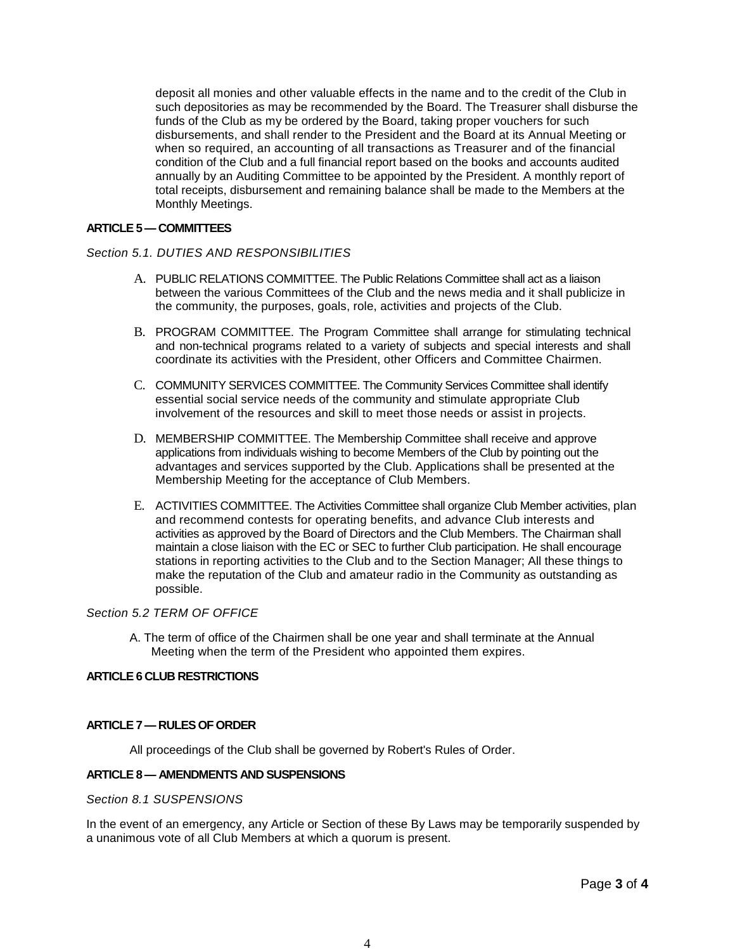deposit all monies and other valuable effects in the name and to the credit of the Club in such depositories as may be recommended by the Board. The Treasurer shall disburse the funds of the Club as my be ordered by the Board, taking proper vouchers for such disbursements, and shall render to the President and the Board at its Annual Meeting or when so required, an accounting of all transactions as Treasurer and of the financial condition of the Club and a full financial report based on the books and accounts audited annually by an Auditing Committee to be appointed by the President. A monthly report of total receipts, disbursement and remaining balance shall be made to the Members at the Monthly Meetings.

### **ARTICLE 5 —COMMITTEES**

### *Section 5.1. DUTIES AND RESPONSIBILITIES*

- A. PUBLIC RELATIONS COMMITTEE. The Public Relations Committee shall act as a liaison between the various Committees of the Club and the news media and it shall publicize in the community, the purposes, goals, role, activities and projects of the Club.
- B. PROGRAM COMMITTEE. The Program Committee shall arrange for stimulating technical and non-technical programs related to a variety of subjects and special interests and shall coordinate its activities with the President, other Officers and Committee Chairmen.
- C. COMMUNITY SERVICES COMMITTEE. The Community Services Committee shall identify essential social service needs of the community and stimulate appropriate Club involvement of the resources and skill to meet those needs or assist in projects.
- D. MEMBERSHIP COMMITTEE. The Membership Committee shall receive and approve applications from individuals wishing to become Members of the Club by pointing out the advantages and services supported by the Club. Applications shall be presented at the Membership Meeting for the acceptance of Club Members.
- E. ACTIVITIES COMMITTEE. The Activities Committee shall organize Club Member activities, plan and recommend contests for operating benefits, and advance Club interests and activities as approved by the Board of Directors and the Club Members. The Chairman shall maintain a close liaison with the EC or SEC to further Club participation. He shall encourage stations in reporting activities to the Club and to the Section Manager; All these things to make the reputation of the Club and amateur radio in the Community as outstanding as possible.

# *Section 5.2 TERM OF OFFICE*

A. The term of office of the Chairmen shall be one year and shall terminate at the Annual Meeting when the term of the President who appointed them expires.

## **ARTICLE 6 CLUB RESTRICTIONS**

### **ARTICLE 7 —RULES OF ORDER**

All proceedings of the Club shall be governed by Robert's Rules of Order.

# **ARTICLE 8 — AMENDMENTS AND SUSPENSIONS**

# *Section 8.1 SUSPENSIONS*

In the event of an emergency, any Article or Section of these By Laws may be temporarily suspended by a unanimous vote of all Club Members at which a quorum is present.